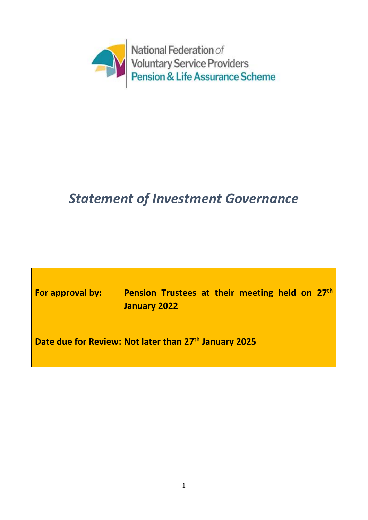

# *Statement of Investment Governance*

**For approval by: Pension Trustees at their meeting held on 27th January 2022**

**Date due for Review: Not later than 27th January 2025**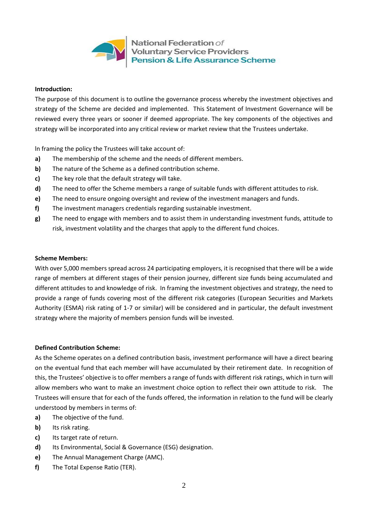

National Federation of **Voluntary Service Providers Pension & Life Assurance Scheme** 

### **Introduction:**

The purpose of this document is to outline the governance process whereby the investment objectives and strategy of the Scheme are decided and implemented. This Statement of Investment Governance will be reviewed every three years or sooner if deemed appropriate. The key components of the objectives and strategy will be incorporated into any critical review or market review that the Trustees undertake.

ln framing the policy the Trustees will take account of:

- **a)** The membership of the scheme and the needs of different members.
- **b)** The nature of the Scheme as a defined contribution scheme.
- **c)** The key role that the default strategy will take.
- **d)** The need to offer the Scheme members a range of suitable funds with different attitudes to risk.
- **e)** The need to ensure ongoing oversight and review of the investment managers and funds.
- **f)** The investment managers credentials regarding sustainable investment.
- **g)** The need to engage with members and to assist them in understanding investment funds, attitude to risk, investment volatility and the charges that apply to the different fund choices.

#### **Scheme Members:**

With over 5,000 members spread across 24 participating employers, it is recognised that there will be a wide range of members at different stages of their pension journey, different size funds being accumulated and different attitudes to and knowledge of risk. In framing the investment objectives and strategy, the need to provide a range of funds covering most of the different risk categories (European Securities and Markets Authority **(**ESMA) risk rating of 1-7 or similar) will be considered and in particular, the default investment strategy where the majority of members pension funds will be invested.

### **Defined Contribution Scheme:**

As the Scheme operates on a defined contribution basis, investment performance will have a direct bearing on the eventual fund that each member will have accumulated by their retirement date. In recognition of this, the Trustees' objective is to offer members a range of funds with different risk ratings, which in turn will allow members who want to make an investment choice option to reflect their own attitude to risk. The Trustees will ensure that for each of the funds offered, the information in relation to the fund will be clearly understood by members in terms of:

- **a)** The objective of the fund.
- **b)** Its risk rating.
- **c)** Its target rate of return.
- **d)** Its Environmental, Social & Governance (ESG) designation.
- **e)** The Annual Management Charge (AMC).
- **f)** The Total Expense Ratio (TER).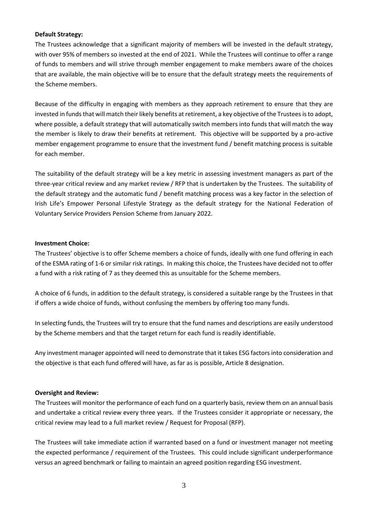#### **Default Strategy:**

The Trustees acknowledge that a significant majority of members will be invested in the default strategy, with over 95% of members so invested at the end of 2021. While the Trustees will continue to offer a range of funds to members and will strive through member engagement to make members aware of the choices that are available, the main objective will be to ensure that the default strategy meets the requirements of the Scheme members.

Because of the difficulty in engaging with members as they approach retirement to ensure that they are invested in funds that will match their likely benefits at retirement, a key objective of the Trustees is to adopt, where possible, a default strategy that will automatically switch members into funds that will match the way the member is likely to draw their benefits at retirement. This objective will be supported by a pro-active member engagement programme to ensure that the investment fund / benefit matching process is suitable for each member.

The suitability of the default strategy will be a key metric in assessing investment managers as part of the three-year critical review and any market review / RFP that is undertaken by the Trustees. The suitability of the default strategy and the automatic fund / benefit matching process was a key factor in the selection of Irish Life's Empower Personal Lifestyle Strategy as the default strategy for the National Federation of Voluntary Service Providers Pension Scheme from January 2022.

### **Investment Choice:**

The Trustees' objective is to offer Scheme members a choice of funds, ideally with one fund offering in each of the ESMA rating of 1-6 or similar risk ratings. In making this choice, the Trustees have decided not to offer a fund with a risk rating of 7 as they deemed this as unsuitable for the Scheme members.

A choice of 6 funds, in addition to the default strategy, is considered a suitable range by the Trustees in that if offers a wide choice of funds, without confusing the members by offering too many funds.

In selecting funds, the Trustees will try to ensure that the fund names and descriptions are easily understood by the Scheme members and that the target return for each fund is readily identifiable.

Any investment manager appointed will need to demonstrate that it takes ESG factors into consideration and the objective is that each fund offered will have, as far as is possible, Article 8 designation.

### **Oversight and Review:**

The Trustees will monitor the performance of each fund on a quarterly basis, review them on an annual basis and undertake a critical review every three years. If the Trustees consider it appropriate or necessary, the critical review may lead to a full market review / Request for Proposal (RFP).

The Trustees will take immediate action if warranted based on a fund or investment manager not meeting the expected performance / requirement of the Trustees. This could include significant underperformance versus an agreed benchmark or failing to maintain an agreed position regarding ESG investment.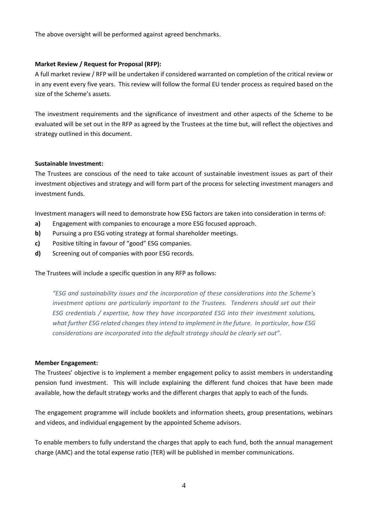The above oversight will be performed against agreed benchmarks.

## **Market Review / Request for Proposal (RFP):**

A full market review / RFP will be undertaken if considered warranted on completion of the critical review or in any event every five years. This review will follow the formal EU tender process as required based on the size of the Scheme's assets.

The investment requirements and the significance of investment and other aspects of the Scheme to be evaluated will be set out in the RFP as agreed by the Trustees at the time but, will reflect the objectives and strategy outlined in this document.

### **Sustainable Investment:**

The Trustees are conscious of the need to take account of sustainable investment issues as part of their investment objectives and strategy and will form part of the process for selecting investment managers and investment funds.

Investment managers will need to demonstrate how ESG factors are taken into consideration in terms of:

- **a)** Engagement with companies to encourage a more ESG focused approach.
- **b)** Pursuing a pro ESG voting strategy at formal shareholder meetings.
- **c)** Positive tilting in favour of "good" ESG companies.
- **d)** Screening out of companies with poor ESG records.

The Trustees will include a specific question in any RFP as follows:

*"ESG and sustainability issues and the incorporation of these considerations into the Scheme's investment options are particularly important to the Trustees. Tenderers should set out their ESG credentials / expertise, how they have incorporated ESG into their investment solutions, what further ESG related changes they intend to implement in the future. In particular, how ESG considerations are incorporated into the default strategy should be clearly set out".* 

### **Member Engagement:**

The Trustees' objective is to implement a member engagement policy to assist members in understanding pension fund investment. This will include explaining the different fund choices that have been made available, how the default strategy works and the different charges that apply to each of the funds.

The engagement programme will include booklets and information sheets, group presentations, webinars and videos, and individual engagement by the appointed Scheme advisors.

To enable members to fully understand the charges that apply to each fund, both the annual management charge (AMC) and the total expense ratio (TER) will be published in member communications.